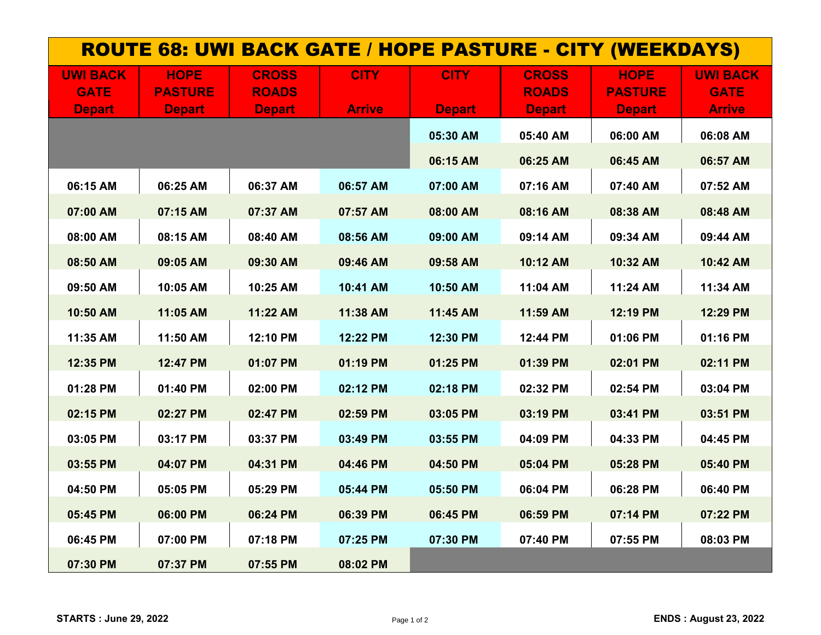| <b>ROUTE 68: UWI BACK GATE / HOPE PASTURE - CITY (WEEKDAYS)</b> |                                                |                                               |                              |                              |                                               |                                                |                                                 |  |  |  |
|-----------------------------------------------------------------|------------------------------------------------|-----------------------------------------------|------------------------------|------------------------------|-----------------------------------------------|------------------------------------------------|-------------------------------------------------|--|--|--|
| <b>UWI BACK</b><br><b>GATE</b><br><b>Depart</b>                 | <b>HOPE</b><br><b>PASTURE</b><br><b>Depart</b> | <b>CROSS</b><br><b>ROADS</b><br><b>Depart</b> | <b>CITY</b><br><b>Arrive</b> | <b>CITY</b><br><b>Depart</b> | <b>CROSS</b><br><b>ROADS</b><br><b>Depart</b> | <b>HOPE</b><br><b>PASTURE</b><br><b>Depart</b> | <b>UWI BACK</b><br><b>GATE</b><br><b>Arrive</b> |  |  |  |
|                                                                 |                                                |                                               |                              | 05:30 AM                     | 05:40 AM                                      | 06:00 AM                                       | 06:08 AM                                        |  |  |  |
| 06:15 AM                                                        | 06:25 AM                                       | 06:37 AM                                      | 06:57 AM                     | 06:15 AM<br>07:00 AM         | 06:25 AM<br>07:16 AM                          | 06:45 AM<br>07:40 AM                           | 06:57 AM<br>07:52 AM                            |  |  |  |
| 07:00 AM                                                        | 07:15 AM                                       | 07:37 AM                                      | 07:57 AM                     | 08:00 AM                     | 08:16 AM                                      | 08:38 AM                                       | 08:48 AM                                        |  |  |  |
| 08:00 AM                                                        | 08:15 AM                                       | 08:40 AM                                      | 08:56 AM                     | 09:00 AM                     | 09:14 AM                                      | 09:34 AM                                       | 09:44 AM                                        |  |  |  |
| 08:50 AM<br>09:50 AM                                            | 09:05 AM<br>10:05 AM                           | 09:30 AM<br>10:25 AM                          | 09:46 AM<br>10:41 AM         | 09:58 AM<br>10:50 AM         | 10:12 AM<br>11:04 AM                          | 10:32 AM<br>11:24 AM                           | 10:42 AM<br>11:34 AM                            |  |  |  |
| 10:50 AM                                                        | 11:05 AM                                       | 11:22 AM                                      | 11:38 AM                     | 11:45 AM                     | 11:59 AM                                      | 12:19 PM                                       | 12:29 PM                                        |  |  |  |
| 11:35 AM<br>12:35 PM                                            | 11:50 AM<br>12:47 PM                           | 12:10 PM<br>01:07 PM                          | 12:22 PM                     | 12:30 PM<br>01:25 PM         | 12:44 PM<br>01:39 PM                          | 01:06 PM                                       | 01:16 PM<br>02:11 PM                            |  |  |  |
| 01:28 PM                                                        | 01:40 PM                                       | 02:00 PM                                      | 01:19 PM<br>02:12 PM         | 02:18 PM                     | 02:32 PM                                      | 02:01 PM<br>02:54 PM                           | 03:04 PM                                        |  |  |  |
| 02:15 PM                                                        | 02:27 PM                                       | 02:47 PM                                      | 02:59 PM                     | 03:05 PM                     | 03:19 PM                                      | 03:41 PM                                       | 03:51 PM                                        |  |  |  |
| 03:05 PM<br>03:55 PM                                            | 03:17 PM<br>04:07 PM                           | 03:37 PM<br>04:31 PM                          | 03:49 PM<br>04:46 PM         | 03:55 PM<br>04:50 PM         | 04:09 PM<br>05:04 PM                          | 04:33 PM<br>05:28 PM                           | 04:45 PM<br>05:40 PM                            |  |  |  |
| 04:50 PM                                                        | 05:05 PM                                       | 05:29 PM                                      | 05:44 PM                     | 05:50 PM                     | 06:04 PM                                      | 06:28 PM                                       | 06:40 PM                                        |  |  |  |
| 05:45 PM                                                        | 06:00 PM                                       | 06:24 PM                                      | 06:39 PM                     | 06:45 PM                     | 06:59 PM                                      | 07:14 PM                                       | 07:22 PM                                        |  |  |  |
| 06:45 PM<br>07:30 PM                                            | 07:00 PM<br>07:37 PM                           | 07:18 PM<br>07:55 PM                          | 07:25 PM<br>08:02 PM         | 07:30 PM                     | 07:40 PM                                      | 07:55 PM                                       | 08:03 PM                                        |  |  |  |